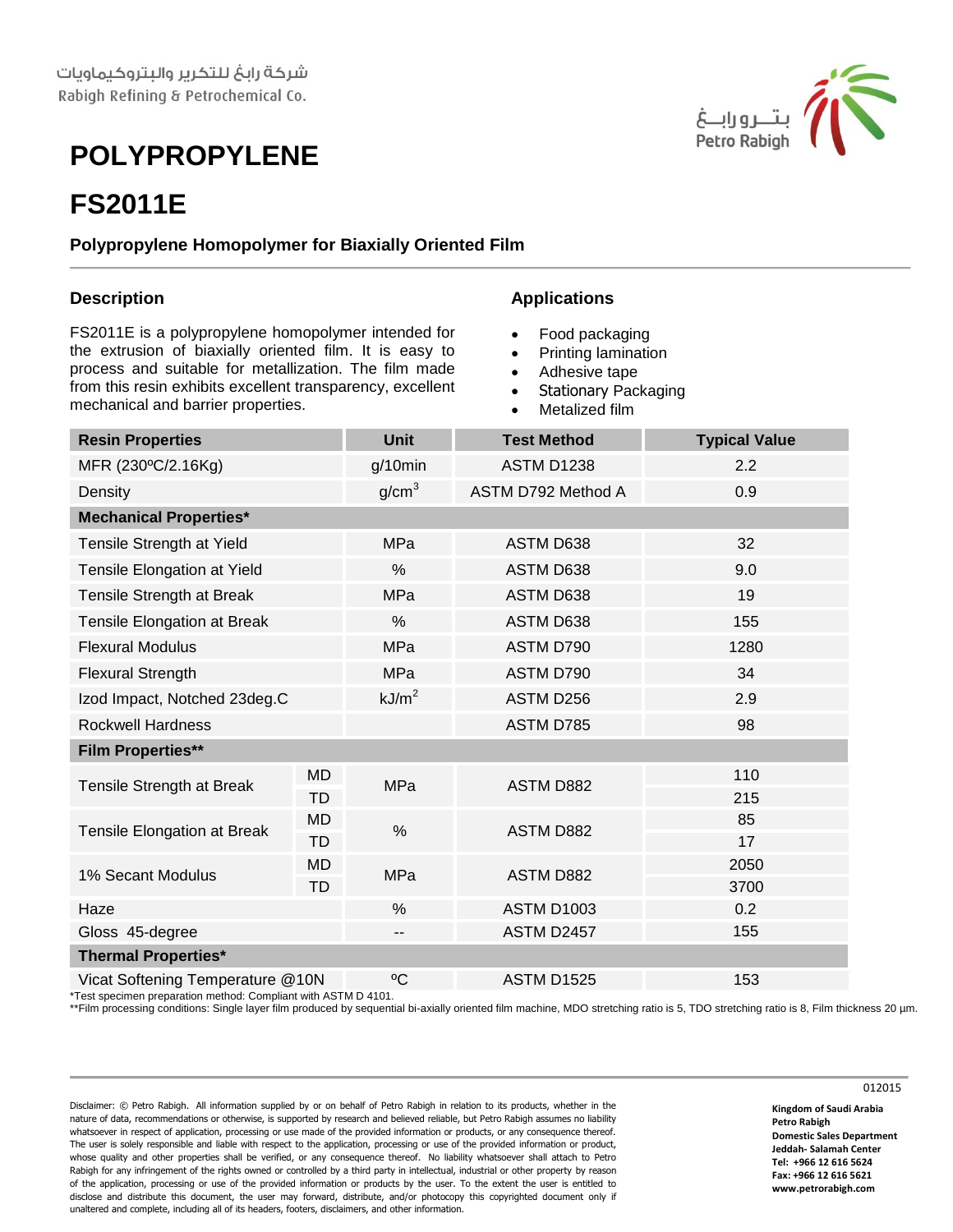# **POLYPROPYLENE**

## **FS2011E**

#### **Polypropylene Homopolymer for Biaxially Oriented Film**

### **Description**

FS2011E is a polypropylene homopolymer intended for the extrusion of biaxially oriented film. It is easy to process and suitable for metallization. The film made from this resin exhibits excellent transparency, excellent mechanical and barrier properties.

#### **Applications**

- Food packaging
- Printing lamination
- Adhesive tape
- Stationary Packaging
- Metalized film

| <b>Resin Properties</b>            |                        | <b>Unit</b>             | <b>Test Method</b> | <b>Typical Value</b> |
|------------------------------------|------------------------|-------------------------|--------------------|----------------------|
| MFR (230°C/2.16Kg)                 |                        | $g/10$ min              | <b>ASTM D1238</b>  | 2.2                  |
| Density                            |                        | g/cm <sup>3</sup>       | ASTM D792 Method A | 0.9                  |
| <b>Mechanical Properties*</b>      |                        |                         |                    |                      |
| Tensile Strength at Yield          |                        | <b>MPa</b>              | ASTM D638          | 32                   |
| Tensile Elongation at Yield        |                        | %                       | ASTM D638          | 9.0                  |
| Tensile Strength at Break          |                        | MPa                     | ASTM D638          | 19                   |
| <b>Tensile Elongation at Break</b> |                        | %                       | ASTM D638          | 155                  |
| <b>Flexural Modulus</b>            |                        | <b>MPa</b>              | ASTM D790          | 1280                 |
| <b>Flexural Strength</b>           |                        | <b>MPa</b>              | ASTM D790          | 34                   |
| Izod Impact, Notched 23deg.C       |                        | kJ/m <sup>2</sup>       | ASTM D256          | 2.9                  |
| <b>Rockwell Hardness</b>           |                        |                         | ASTM D785          | 98                   |
| <b>Film Properties**</b>           |                        |                         |                    |                      |
| Tensile Strength at Break          | <b>MD</b>              | <b>MPa</b>              | ASTM D882          | 110                  |
|                                    | <b>TD</b>              |                         |                    | 215                  |
| Tensile Elongation at Break        | <b>MD</b>              | $\frac{0}{0}$           | ASTM D882          | 85                   |
| 1% Secant Modulus                  | <b>TD</b><br><b>MD</b> | <b>MPa</b><br>ASTM D882 |                    | 17<br>2050           |
|                                    | <b>TD</b>              |                         |                    | 3700                 |
| Haze                               |                        | %                       | <b>ASTM D1003</b>  | 0.2                  |
| Gloss 45-degree                    |                        | $\qquad \qquad -$       | ASTM D2457         | 155                  |
| <b>Thermal Properties*</b>         |                        |                         |                    |                      |
| Vicat Softening Temperature @10N   |                        | $\rm ^{0}C$             | <b>ASTM D1525</b>  | 153                  |

\*Test specimen preparation method: Compliant with ASTM D 4101.

\*\*Film processing conditions: Single layer film produced by sequential bi-axially oriented film machine, MDO stretching ratio is 5, TDO stretching ratio is 8, Film thickness 20 µm.

Disclaimer: © Petro Rabigh. All information supplied by or on behalf of Petro Rabigh in relation to its products, whether in the nature of data, recommendations or otherwise, is supported by research and believed reliable, but Petro Rabigh assumes no liability whatsoever in respect of application, processing or use made of the provided information or products, or any consequence thereof. The user is solely responsible and liable with respect to the application, processing or use of the provided information or product, whose quality and other properties shall be verified, or any consequence thereof. No liability whatsoever shall attach to Petro Rabigh for any infringement of the rights owned or controlled by a third party in intellectual, industrial or other property by reason of the application, processing or use of the provided information or products by the user. To the extent the user is entitled to disclose and distribute this document, the user may forward, distribute, and/or photocopy this copyrighted document only if unaltered and complete, including all of its headers, footers, disclaimers, and other information.

**Kingdom of Saudi Arabia Petro Rabigh Domestic Sales Department Jeddah- Salamah Center Tel: +966 12 616 5624 Fax: +966 12 616 5621 www.petrorabigh.com**

012015